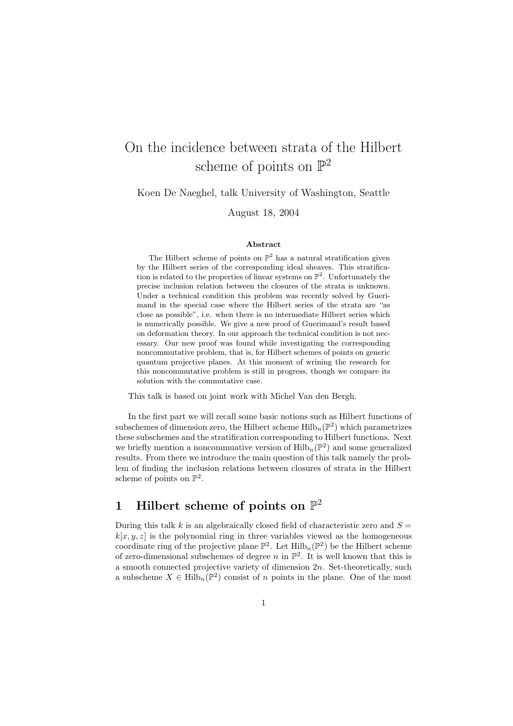# On the incidence between strata of the Hilbert scheme of points on  $\mathbb{P}^2$

Koen De Naeghel, talk University of Washington, Seattle

August 18, 2004

#### Abstract

The Hilbert scheme of points on  $\mathbb{P}^2$  has a natural stratification given by the Hilbert series of the corresponding ideal sheaves. This stratification is related to the properties of linear systems on  $\mathbb{P}^2$ . Unfortunately the precise inclusion relation between the closures of the strata is unknown. Under a technical condition this problem was recently solved by Guerimand in the special case where the Hilbert series of the strata are "as close as possible", i.e. when there is no intermediate Hilbert series which is numerically possible. We give a new proof of Guerimand's result based on deformation theory. In our approach the technical condition is not necessary. Our new proof was found while investigating the corresponding noncommutative problem, that is, for Hilbert schemes of points on generic quantum projective planes. At this moment of wrining the research for this noncommutative problem is still in progress, though we compare its solution with the commutative case.

This talk is based on joint work with Michel Van den Bergh.

In the first part we will recall some basic notions such as Hilbert functions of subschemes of dimension zero, the Hilbert scheme  $\mathrm{Hilb}_{n}(\mathbb{P}^{2})$  which parametrizes these subschemes and the stratification corresponding to Hilbert functions. Next we briefly mention a noncommuative version of  $\mathrm{Hilb}_{n}(\mathbb{P}^{2})$  and some generalized results. From there we introduce the main question of this talk namely the problem of finding the inclusion relations between closures of strata in the Hilbert scheme of points on  $\mathbb{P}^2$ .

## 1 Hilbert scheme of points on  $\mathbb{P}^2$

During this talk k is an algebraically closed field of characteristic zero and  $S =$  $k[x, y, z]$  is the polynomial ring in three variables viewed as the homogeneous coordinate ring of the projective plane  $\mathbb{P}^2$ . Let  $\mathrm{Hilb}_n(\mathbb{P}^2)$  be the Hilbert scheme of zero-dimensional subschemes of degree n in  $\mathbb{P}^2$ . It is well known that this is a smooth connected projective variety of dimension 2n. Set-theoretically, such a subscheme  $X \in \mathrm{Hilb}_n(\mathbb{P}^2)$  consist of n points in the plane. One of the most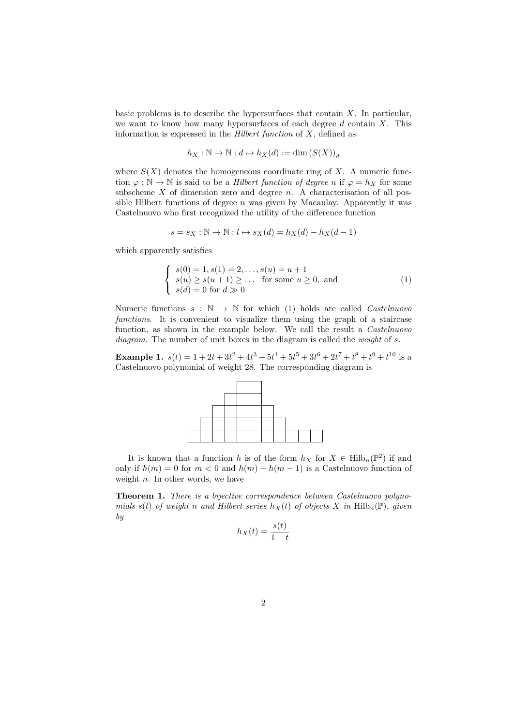basic problems is to describe the hypersurfaces that contain  $X$ . In particular, we want to know how many hypersurfaces of each degree  $d$  contain  $X$ . This information is expressed in the *Hilbert function* of  $X$ , defined as

$$
h_X:\mathbb{N}\to\mathbb{N}:d\mapsto h_X(d):=\dim\left(S(X)\right)_d
$$

where  $S(X)$  denotes the homogeneous coordinate ring of X. A numeric function  $\varphi : \mathbb{N} \to \mathbb{N}$  is said to be a *Hilbert function of degree n* if  $\varphi = h_X$  for some subscheme  $X$  of dimension zero and degree  $n$ . A characterisation of all possible Hilbert functions of degree  $n$  was given by Macaulay. Apparently it was Castelnuovo who first recognized the utility of the difference function

$$
s = s_X : \mathbb{N} \to \mathbb{N} : l \mapsto s_X(d) = h_X(d) - h_X(d-1)
$$

which apparently satisfies

$$
\begin{cases}\ns(0) = 1, s(1) = 2, \dots, s(u) = u + 1 \\
s(u) \ge s(u+1) \ge \dots \text{ for some } u \ge 0, \text{ and} \\
s(d) = 0 \text{ for } d \gg 0\n\end{cases}
$$
\n(1)

Numeric functions  $s : \mathbb{N} \to \mathbb{N}$  for which (1) holds are called *Castelnuovo* functions. It is convenient to visualize them using the graph of a staircase function, as shown in the example below. We call the result a Castelnuovo diagram. The number of unit boxes in the diagram is called the *weight* of s.

**Example 1.**  $s(t) = 1 + 2t + 3t^2 + 4t^3 + 5t^4 + 5t^5 + 3t^6 + 2t^7 + t^8 + t^9 + t^{10}$  is a Castelnuovo polynomial of weight 28. The corresponding diagram is



It is known that a function h is of the form  $h_X$  for  $X \in \text{Hilb}_n(\mathbb{P}^2)$  if and only if  $h(m) = 0$  for  $m < 0$  and  $h(m) - h(m - 1)$  is a Castelnuovo function of weight  $n$ . In other words, we have

Theorem 1. There is a bijective correspondence between Castelnuovo polynomials s(t) of weight n and Hilbert series  $h_X(t)$  of objects X in Hilb<sub>n</sub>(P), given by

$$
h_X(t) = \frac{s(t)}{1 - t}
$$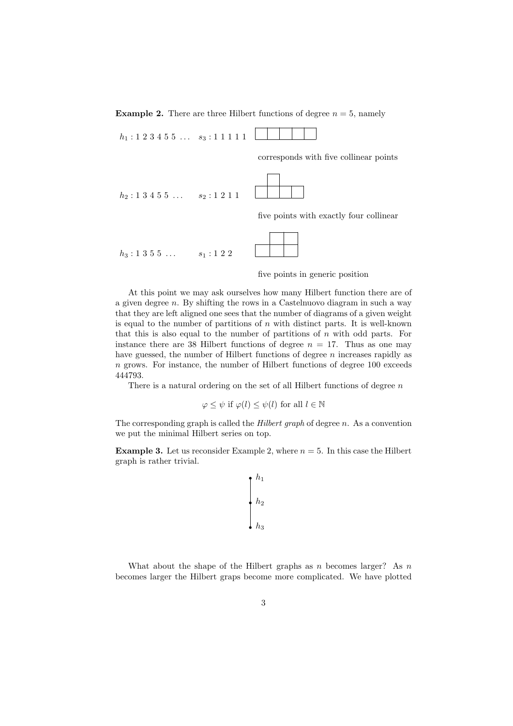**Example 2.** There are three Hilbert functions of degree  $n = 5$ , namely

 $h_1 : 1 \ 2 \ 3 \ 4 \ 5 \ 5 \ \ldots \quad s_3 : 1 \ 1 \ 1 \ 1 \ 1$ 

corresponds with five collinear points

 $h_2$ : 1 3 4 5 5 ...  $s_2$ : 1 2 1 1

five points with exactly four collinear

 $h_3 : 1 \; 3 \; 5 \; 5 \; \ldots$   $s_1 : 1 \; 2 \; 2$ 



At this point we may ask ourselves how many Hilbert function there are of a given degree  $n$ . By shifting the rows in a Castelnuovo diagram in such a way that they are left aligned one sees that the number of diagrams of a given weight is equal to the number of partitions of  $n$  with distinct parts. It is well-known that this is also equal to the number of partitions of  $n$  with odd parts. For instance there are 38 Hilbert functions of degree  $n = 17$ . Thus as one may have guessed, the number of Hilbert functions of degree  $n$  increases rapidly as n grows. For instance, the number of Hilbert functions of degree 100 exceeds 444793.

There is a natural ordering on the set of all Hilbert functions of degree  $n$ 

$$
\varphi \leq \psi
$$
 if  $\varphi(l) \leq \psi(l)$  for all  $l \in \mathbb{N}$ 

The corresponding graph is called the *Hilbert graph* of degree n. As a convention we put the minimal Hilbert series on top.

**Example 3.** Let us reconsider Example 2, where  $n = 5$ . In this case the Hilbert graph is rather trivial.

$$
\begin{array}{c} h_1 \\ h_2 \\ \hline \\ h_3 \end{array}
$$

What about the shape of the Hilbert graphs as n becomes larger? As  $n$ becomes larger the Hilbert graps become more complicated. We have plotted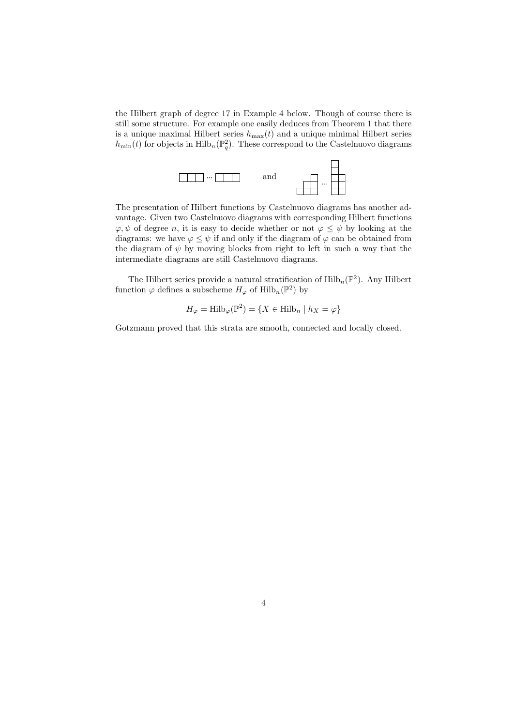the Hilbert graph of degree 17 in Example 4 below. Though of course there is still some structure. For example one easily deduces from Theorem 1 that there is a unique maximal Hilbert series  $h_{\text{max}}(t)$  and a unique minimal Hilbert series  $h_{\min}(t)$  for objects in  $\mathrm{Hilb}_{n}(\mathbb{P}_{q}^{2})$ . These correspond to the Castelnuovo diagrams



The presentation of Hilbert functions by Castelnuovo diagrams has another advantage. Given two Castelnuovo diagrams with corresponding Hilbert functions  $\varphi, \psi$  of degree n, it is easy to decide whether or not  $\varphi \leq \psi$  by looking at the diagrams: we have  $\varphi \leq \psi$  if and only if the diagram of  $\varphi$  can be obtained from the diagram of  $\psi$  by moving blocks from right to left in such a way that the intermediate diagrams are still Castelnuovo diagrams.

The Hilbert series provide a natural stratification of  $\mathrm{Hilb}_{n}(\mathbb{P}^{2})$ . Any Hilbert function  $\varphi$  defines a subscheme  $H_{\varphi}$  of  $\mathrm{Hilb}_{n}(\mathbb{P}^{2})$  by

$$
H_{\varphi} = \text{Hilb}_{\varphi}(\mathbb{P}^2) = \{ X \in \text{Hilb}_{n} \mid h_X = \varphi \}
$$

Gotzmann proved that this strata are smooth, connected and locally closed.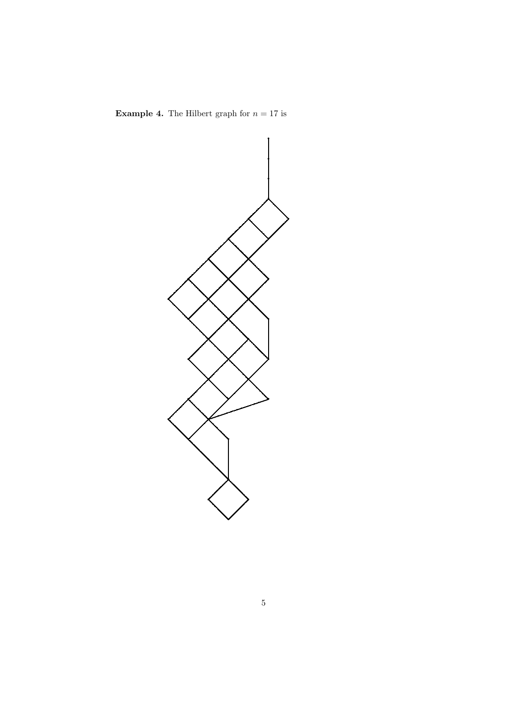

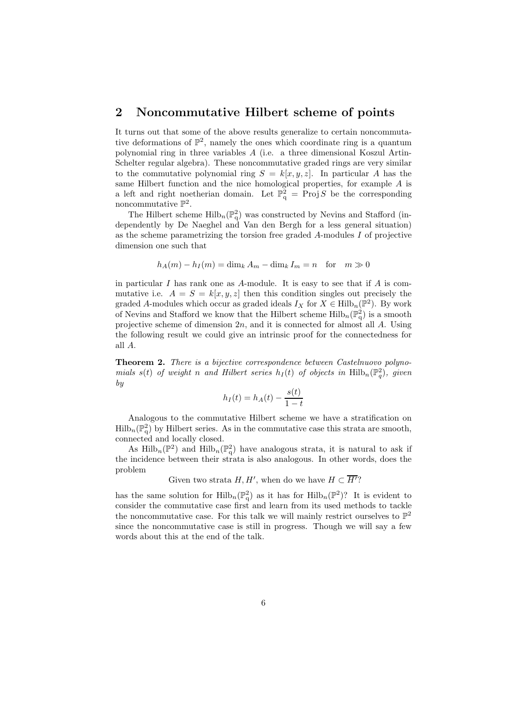#### 2 Noncommutative Hilbert scheme of points

It turns out that some of the above results generalize to certain noncommutative deformations of  $\mathbb{P}^2$ , namely the ones which coordinate ring is a quantum polynomial ring in three variables A (i.e. a three dimensional Koszul Artin-Schelter regular algebra). These noncommutative graded rings are very similar to the commutative polynomial ring  $S = k[x, y, z]$ . In particular A has the same Hilbert function and the nice homological properties, for example A is a left and right noetherian domain. Let  $\mathbb{P}^2_q$  = Proj S be the corresponding noncommutative  $\mathbb{P}^2$ .

The Hilbert scheme  $\mathrm{Hilb}_{n}(\mathbb{P}_{q}^{2})$  was constructed by Nevins and Stafford (independently by De Naeghel and Van den Bergh for a less general situation) as the scheme parametrizing the torsion free graded A-modules I of projective dimension one such that

$$
h_A(m) - h_I(m) = \dim_k A_m - \dim_k I_m = n \text{ for } m \gg 0
$$

in particular  $I$  has rank one as  $A$ -module. It is easy to see that if  $A$  is commutative i.e.  $A = S = k[x, y, z]$  then this condition singles out precisely the graded A-modules which occur as graded ideals  $I_X$  for  $X \in \text{Hilb}_n(\mathbb{P}^2)$ . By work of Nevins and Stafford we know that the Hilbert scheme  $\mathrm{Hilb}_{n}(\mathbb{P}_{q}^{2})$  is a smooth projective scheme of dimension  $2n$ , and it is connected for almost all  $A$ . Using the following result we could give an intrinsic proof for the connectedness for all A.

Theorem 2. There is a bijective correspondence between Castelnuovo polynomials  $s(t)$  of weight n and Hilbert series  $h_I(t)$  of objects in  $\text{Hilb}_n(\mathbb{P}_q^2)$ , given by

$$
h_I(t) = h_A(t) - \frac{s(t)}{1 - t}
$$

Analogous to the commutative Hilbert scheme we have a stratification on  $\text{Hilb}_n(\mathbb{P}_q^2)$  by Hilbert series. As in the commutative case this strata are smooth, connected and locally closed.

As Hilb<sub>n</sub>( $\mathbb{P}^2$ ) and Hilb<sub>n</sub>( $\mathbb{P}^2$ ) have analogous strata, it is natural to ask if the incidence between their strata is also analogous. In other words, does the problem

Given two strata  $H, H'$ , when do we have  $H \subset \overline{H'}$ ?

has the same solution for  $\mathrm{Hilb}_{n}(\mathbb{P}_{q}^{2})$  as it has for  $\mathrm{Hilb}_{n}(\mathbb{P}^{2})$ ? It is evident to consider the commutative case first and learn from its used methods to tackle the noncommutative case. For this talk we will mainly restrict ourselves to  $\mathbb{P}^2$ since the noncommutative case is still in progress. Though we will say a few words about this at the end of the talk.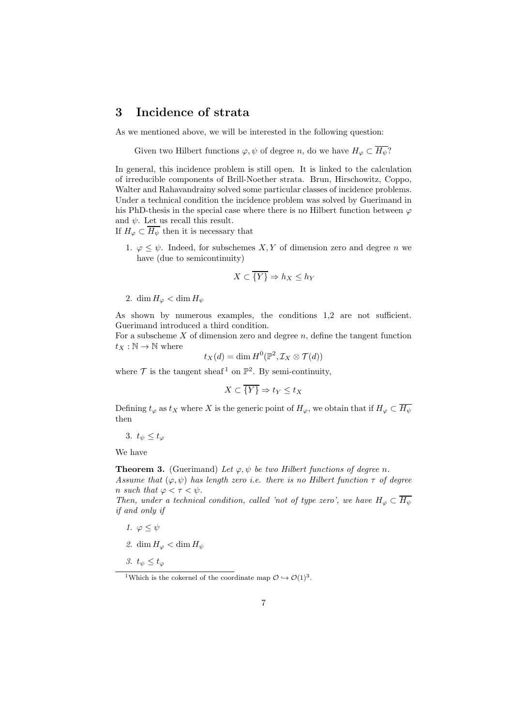### 3 Incidence of strata

As we mentioned above, we will be interested in the following question:

Given two Hilbert functions  $\varphi, \psi$  of degree n, do we have  $H_{\varphi} \subset \overline{H_{\psi}}$ ?

In general, this incidence problem is still open. It is linked to the calculation of irreducible components of Brill-Noether strata. Brun, Hirschowitz, Coppo, Walter and Rahavandrainy solved some particular classes of incidence problems. Under a technical condition the incidence problem was solved by Guerimand in his PhD-thesis in the special case where there is no Hilbert function between  $\varphi$ and  $\psi$ . Let us recall this result.

If  $H_{\varphi} \subset \overline{H_{\psi}}$  then it is necessary that

1.  $\varphi \leq \psi$ . Indeed, for subschemes X, Y of dimension zero and degree n we have (due to semicontinuity)

$$
X \subset \overline{\{Y\}} \Rightarrow h_X \le h_Y
$$

2. dim  $H_{\varphi} < \dim H_{\psi}$ 

As shown by numerous examples, the conditions 1,2 are not sufficient. Guerimand introduced a third condition.

For a subscheme  $X$  of dimension zero and degree  $n$ , define the tangent function  $t_X : \mathbb{N} \to \mathbb{N}$  where

$$
t_X(d) = \dim H^0(\mathbb{P}^2, \mathcal{I}_X \otimes \mathcal{T}(d))
$$

where  $\mathcal T$  is the tangent sheaf<sup>1</sup> on  $\mathbb P^2$ . By semi-continuity,

$$
X \subset \overline{\{Y\}} \Rightarrow t_Y \le t_X
$$

Defining  $t_{\varphi}$  as  $t_X$  where X is the generic point of  $H_{\varphi}$ , we obtain that if  $H_{\varphi} \subset \overline{H_{\psi}}$ then

3.  $t_{\psi} \leq t_{\varphi}$ 

We have

**Theorem 3.** (Guerimand) Let  $\varphi, \psi$  be two Hilbert functions of degree n. Assume that  $(\varphi, \psi)$  has length zero i.e. there is no Hilbert function  $\tau$  of degree n such that  $\varphi < \tau < \psi$ .

Then, under a technical condition, called 'not of type zero', we have  $H_{\varphi} \subset \overline{H_{\psi}}$ if and only if

- 1.  $\varphi \leq \psi$
- 2. dim  $H_{\varphi} < \dim H_{\psi}$
- 3.  $t_{\psi} \leq t_{\varphi}$

<sup>&</sup>lt;sup>1</sup>Which is the cokernel of the coordinate map  $\mathcal{O} \hookrightarrow \mathcal{O}(1)^3$ .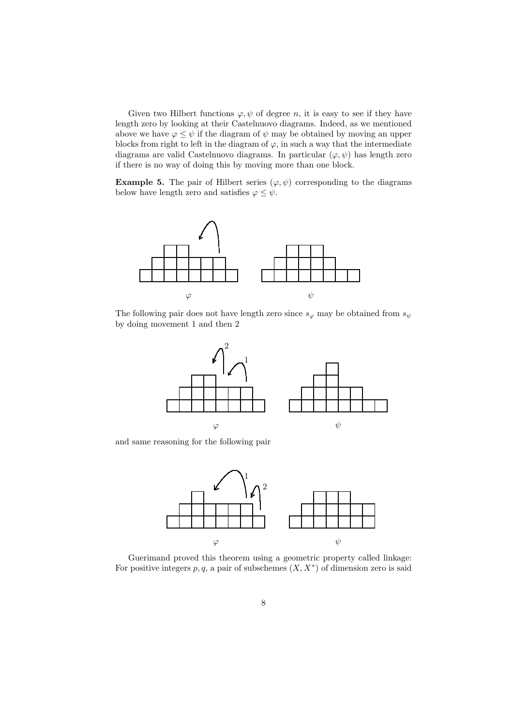Given two Hilbert functions  $\varphi, \psi$  of degree n, it is easy to see if they have length zero by looking at their Castelnuovo diagrams. Indeed, as we mentioned above we have  $\varphi \leq \psi$  if the diagram of  $\psi$  may be obtained by moving an upper blocks from right to left in the diagram of  $\varphi$ , in such a way that the intermediate diagrams are valid Castelnuovo diagrams. In particular  $(\varphi, \psi)$  has length zero if there is no way of doing this by moving more than one block.

**Example 5.** The pair of Hilbert series  $(\varphi, \psi)$  corresponding to the diagrams below have length zero and satisfies  $\varphi \leq \psi$ .



The following pair does not have length zero since  $s_{\varphi}$  may be obtained from  $s_{\psi}$ by doing movement 1 and then 2



and same reasoning for the following pair



Guerimand proved this theorem using a geometric property called linkage: For positive integers  $p, q$ , a pair of subschemes  $(X, X^*)$  of dimension zero is said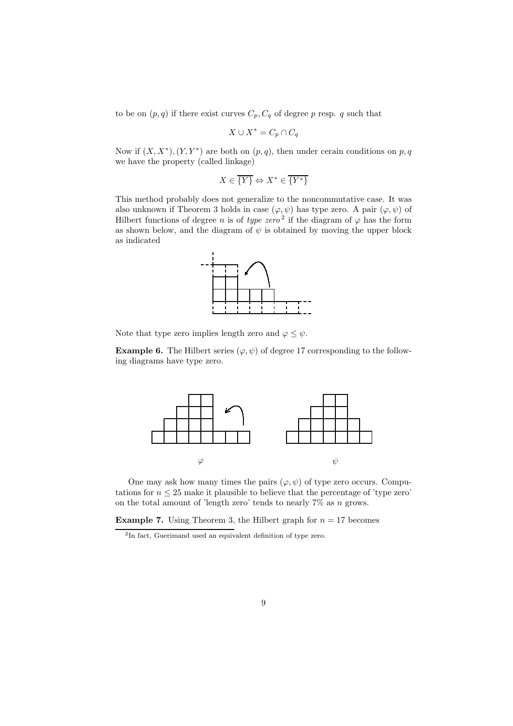to be on  $(p, q)$  if there exist curves  $C_p, C_q$  of degree p resp. q such that

$$
X \cup X^* = C_p \cap C_q
$$

Now if  $(X, X^*)$ ,  $(Y, Y^*)$  are both on  $(p, q)$ , then under cerain conditions on p, q we have the property (called linkage)

$$
X\in \overline{\{Y\}}\Leftrightarrow X^*\in \overline{\{Y^*\}}
$$

This method probably does not generalize to the noncommutative case. It was also unknown if Theorem 3 holds in case  $(\varphi, \psi)$  has type zero. A pair  $(\varphi, \psi)$  of Hilbert functions of degree *n* is of *type zero*<sup>2</sup> if the diagram of  $\varphi$  has the form as shown below, and the diagram of  $\psi$  is obtained by moving the upper block as indicated



Note that type zero implies length zero and  $\varphi \leq \psi$ .

**Example 6.** The Hilbert series  $(\varphi, \psi)$  of degree 17 corresponding to the following diagrams have type zero.



One may ask how many times the pairs  $(\varphi, \psi)$  of type zero occurs. Computations for  $n \leq 25$  make it plausible to believe that the percentage of 'type zero' on the total amount of 'length zero' tends to nearly  $7\%$  as n grows.

**Example 7.** Using Theorem 3, the Hilbert graph for  $n = 17$  becomes

<sup>2</sup> In fact, Guerimand used an equivalent definition of type zero.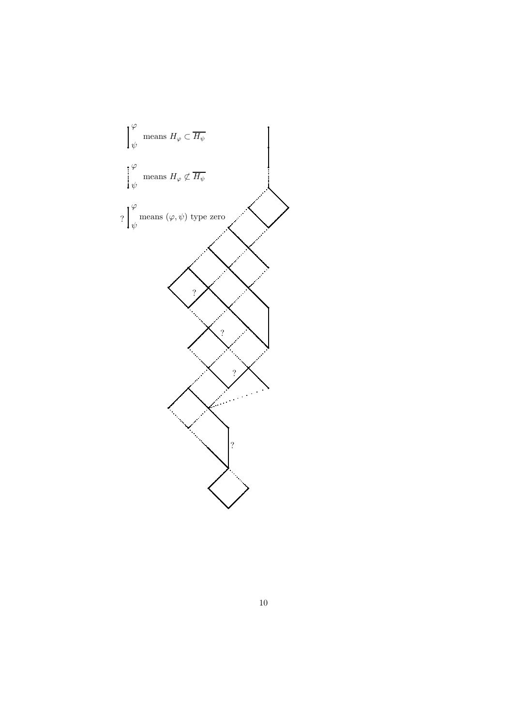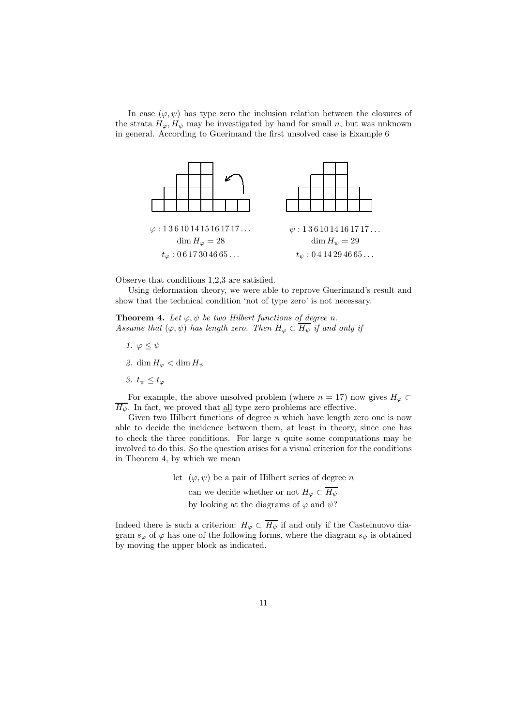In case  $(\varphi, \psi)$  has type zero the inclusion relation between the closures of the strata  $H_{\varphi}, H_{\psi}$  may be investigated by hand for small n, but was unknown in general. According to Guerimand the first unsolved case is Example 6



Observe that conditions 1,2,3 are satisfied.

Using deformation theory, we were able to reprove Guerimand's result and show that the technical condition 'not of type zero' is not necessary.

**Theorem 4.** Let  $\varphi, \psi$  be two Hilbert functions of degree n. Assume that  $(\varphi, \psi)$  has length zero. Then  $H_{\varphi} \subset \overline{H_{\psi}}$  if and only if

- 1.  $\varphi \leq \psi$
- 2. dim  $H_{\varphi} < \dim H_{\psi}$
- 3.  $t_{\psi} \leq t_{\varphi}$

For example, the above unsolved problem (where  $n = 17$ ) now gives  $H_{\varphi} \subset$  $\overline{H_{\psi}}$ . In fact, we proved that <u>all</u> type zero problems are effective.

Given two Hilbert functions of degree  $n$  which have length zero one is now able to decide the incidence between them, at least in theory, since one has to check the three conditions. For large  $n$  quite some computations may be involved to do this. So the question arises for a visual criterion for the conditions in Theorem 4, by which we mean

> let  $(\varphi, \psi)$  be a pair of Hilbert series of degree n can we decide whether or not  $H_{\varphi} \subset \overline{H_{\psi}}$ by looking at the diagrams of  $\varphi$  and  $\psi$ ?

Indeed there is such a criterion:  $H_{\varphi} \subset \overline{H_{\psi}}$  if and only if the Castelnuovo diagram  $s_{\varphi}$  of  $\varphi$  has one of the following forms, where the diagram  $s_{\psi}$  is obtained by moving the upper block as indicated.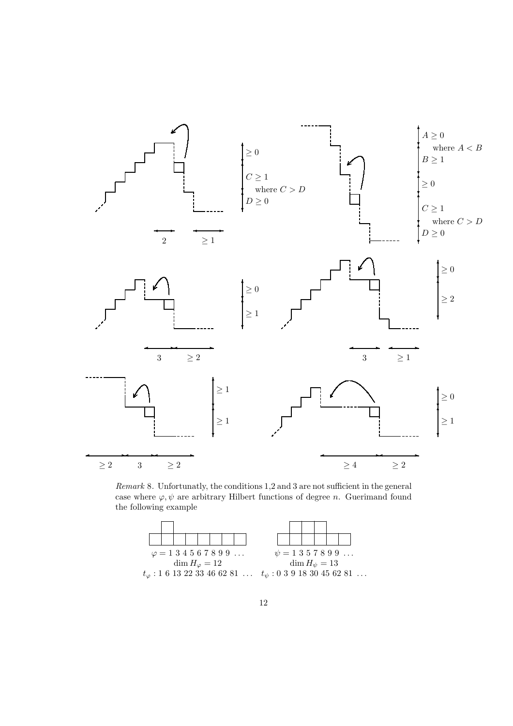

Remark 8. Unfortunatly, the conditions 1,2 and 3 are not sufficient in the general case where  $\varphi, \psi$  are arbitrary Hilbert functions of degree n. Guerimand found the following example